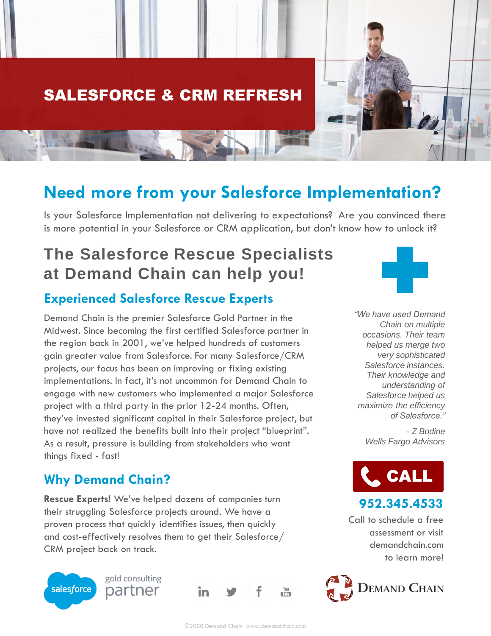

## **Need more from your Salesforce Implementation?**

Is your Salesforce Implementation not delivering to expectations? Are you convinced there is more potential in your Salesforce or CRM application, but don't know how to unlock it?

# **The Salesforce Rescue Specialists at Demand Chain can help you!**

### **Experienced Salesforce Rescue Experts**

Demand Chain is the premier Salesforce Gold Partner in the Midwest. Since becoming the first certified Salesforce partner in the region back in 2001, we've helped hundreds of customers gain greater value from Salesforce. For many Salesforce/CRM projects, our focus has been on improving or fixing existing implementations. In fact, it's not uncommon for Demand Chain to engage with new customers who implemented a major Salesforce project with a third party in the prior 12-24 months. Often, they've invested significant capital in their Salesforce project, but have not realized the benefits built into their project "blueprint". As a result, pressure is building from stakeholders who want things fixed - fast!

### **Why Demand Chain?**

**Rescue Experts!** We've helped dozens of companies turn their struggling Salesforce projects around. We have a proven process that quickly identifies issues, then quickly and cost-effectively resolves them to get their Salesforce/ CRM project back on track.



gold consulting partner





*"We have used Demand Chain on multiple occasions. Their team helped us merge two very sophisticated Salesforce instances. Their knowledge and understanding of Salesforce helped us maximize the efficiency of Salesforce."*

> *- Z Bodine Wells Fargo Advisors*



**952.345.4533** 

Call to schedule a free assessment or visit demandchain.com to learn more!